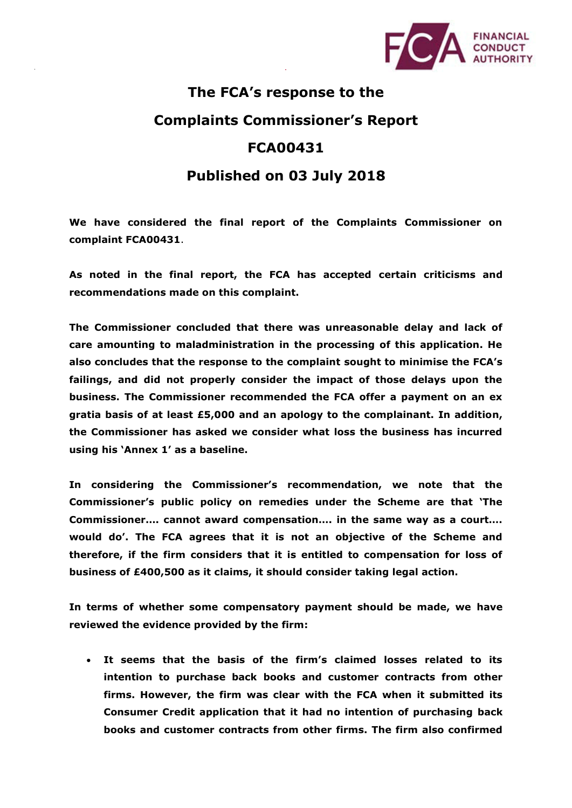

## **The FCA's response to the**

## **Complaints Commissioner's Report**

## **FCA00431**

## **Published on 03 July 2018**

**We have considered the final report of the Complaints Commissioner on complaint FCA00431**.

**As noted in the final report, the FCA has accepted certain criticisms and recommendations made on this complaint.** 

**The Commissioner concluded that there was unreasonable delay and lack of care amounting to maladministration in the processing of this application. He also concludes that the response to the complaint sought to minimise the FCA's failings, and did not properly consider the impact of those delays upon the business. The Commissioner recommended the FCA offer a payment on an ex gratia basis of at least £5,000 and an apology to the complainant. In addition, the Commissioner has asked we consider what loss the business has incurred using his 'Annex 1' as a baseline.**

**In considering the Commissioner's recommendation, we note that the Commissioner's public policy on remedies under the Scheme are that 'The Commissioner…. cannot award compensation…. in the same way as a court…. would do'. The FCA agrees that it is not an objective of the Scheme and therefore, if the firm considers that it is entitled to compensation for loss of business of £400,500 as it claims, it should consider taking legal action.**

**In terms of whether some compensatory payment should be made, we have reviewed the evidence provided by the firm:**

• **It seems that the basis of the firm's claimed losses related to its intention to purchase back books and customer contracts from other firms. However, the firm was clear with the FCA when it submitted its Consumer Credit application that it had no intention of purchasing back books and customer contracts from other firms. The firm also confirmed**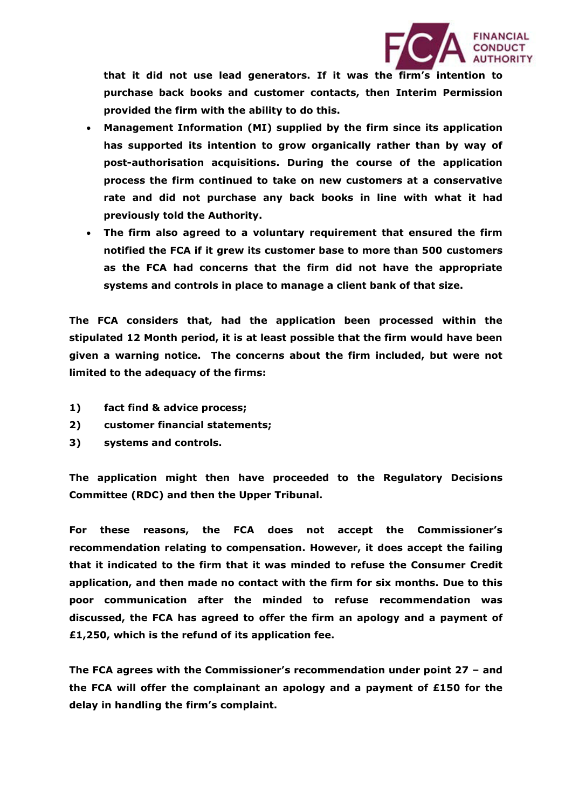

**that it did not use lead generators. If it was the firm's intention to purchase back books and customer contacts, then Interim Permission provided the firm with the ability to do this.** 

- **Management Information (MI) supplied by the firm since its application has supported its intention to grow organically rather than by way of post-authorisation acquisitions. During the course of the application process the firm continued to take on new customers at a conservative rate and did not purchase any back books in line with what it had previously told the Authority.**
- **The firm also agreed to a voluntary requirement that ensured the firm notified the FCA if it grew its customer base to more than 500 customers as the FCA had concerns that the firm did not have the appropriate systems and controls in place to manage a client bank of that size.**

**The FCA considers that, had the application been processed within the stipulated 12 Month period, it is at least possible that the firm would have been given a warning notice. The concerns about the firm included, but were not limited to the adequacy of the firms:**

- **1) fact find & advice process;**
- **2) customer financial statements;**
- **3) systems and controls.**

**The application might then have proceeded to the Regulatory Decisions Committee (RDC) and then the Upper Tribunal.**

**For these reasons, the FCA does not accept the Commissioner's recommendation relating to compensation. However, it does accept the failing that it indicated to the firm that it was minded to refuse the Consumer Credit application, and then made no contact with the firm for six months. Due to this poor communication after the minded to refuse recommendation was discussed, the FCA has agreed to offer the firm an apology and a payment of £1,250, which is the refund of its application fee.**

**The FCA agrees with the Commissioner's recommendation under point 27 – and the FCA will offer the complainant an apology and a payment of £150 for the delay in handling the firm's complaint.**